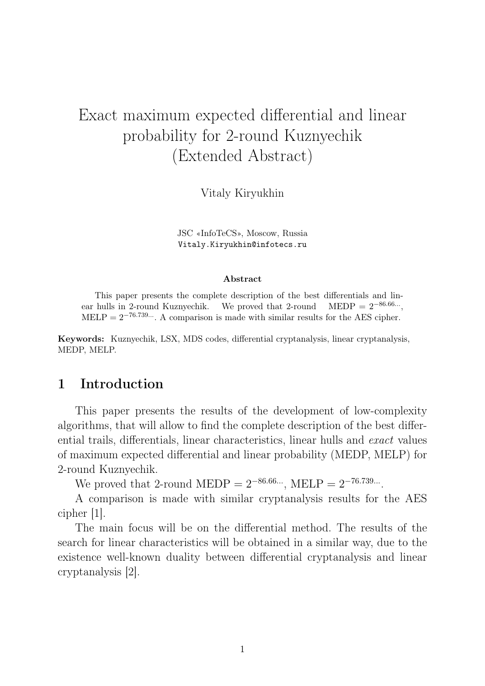# Exact maximum expected differential and linear probability for 2-round Kuznyechik (Extended Abstract)

Vitaly Kiryukhin

JSC «InfoTeCS», Moscow, Russia Vitaly.Kiryukhin@infotecs.ru

#### Abstract

This paper presents the complete description of the best differentials and linear hulls in 2-round Kuznyechik. We proved that 2-round  $\text{MEDP} = 2^{-86.66...}.$ MELP =  $2^{-76.739...}$ . A comparison is made with similar results for the AES cipher.

Keywords: Kuznyechik, LSX, MDS codes, differential cryptanalysis, linear cryptanalysis, MEDP, MELP.

## 1 Introduction

This paper presents the results of the development of low-complexity algorithms, that will allow to find the complete description of the best differential trails, differentials, linear characteristics, linear hulls and exact values of maximum expected differential and linear probability (MEDP, MELP) for 2-round Kuznyechik.

We proved that 2-round MEDP =  $2^{-86.66...}$ , MELP =  $2^{-76.739...}$ .

A comparison is made with similar cryptanalysis results for the AES cipher [1].

The main focus will be on the differential method. The results of the search for linear characteristics will be obtained in a similar way, due to the existence well-known duality between differential cryptanalysis and linear cryptanalysis [2].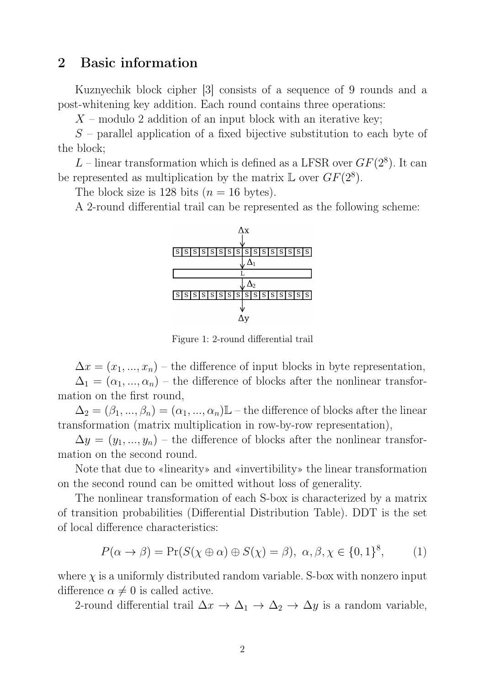## 2 Basic information

Kuznyechik block cipher [3] consists of a sequence of 9 rounds and a post-whitening key addition. Each round contains three operations:

 $X$  – modulo 2 addition of an input block with an iterative key;

 $S$  – parallel application of a fixed bijective substitution to each byte of the block;

L – linear transformation which is defined as a LFSR over  $GF(2^8)$ . It can be represented as multiplication by the matrix  $\mathbb L$  over  $GF(2^8)$ .

The block size is 128 bits  $(n = 16 \text{ bytes})$ .

A 2-round differential trail can be represented as the following scheme:



Figure 1: 2-round differential trail

 $\Delta x = (x_1, ..., x_n)$  – the difference of input blocks in byte representation,  $\Delta_1 = (\alpha_1, ..., \alpha_n)$  – the difference of blocks after the nonlinear transformation on the first round,

 $\Delta_2 = (\beta_1, ..., \beta_n) = (\alpha_1, ..., \alpha_n) \mathbb{L}$  – the difference of blocks after the linear transformation (matrix multiplication in row-by-row representation),

 $\Delta y = (y_1, ..., y_n)$  – the difference of blocks after the nonlinear transformation on the second round.

Note that due to «linearity» and «invertibility» the linear transformation on the second round can be omitted without loss of generality.

The nonlinear transformation of each S-box is characterized by a matrix of transition probabilities (Differential Distribution Table). DDT is the set of local difference characteristics:

$$
P(\alpha \to \beta) = \Pr(S(\chi \oplus \alpha) \oplus S(\chi) = \beta), \ \alpha, \beta, \chi \in \{0, 1\}^8, \tag{1}
$$

where  $\chi$  is a uniformly distributed random variable. S-box with nonzero input difference  $\alpha \neq 0$  is called active.

2-round differential trail  $\Delta x \to \Delta_1 \to \Delta_2 \to \Delta y$  is a random variable,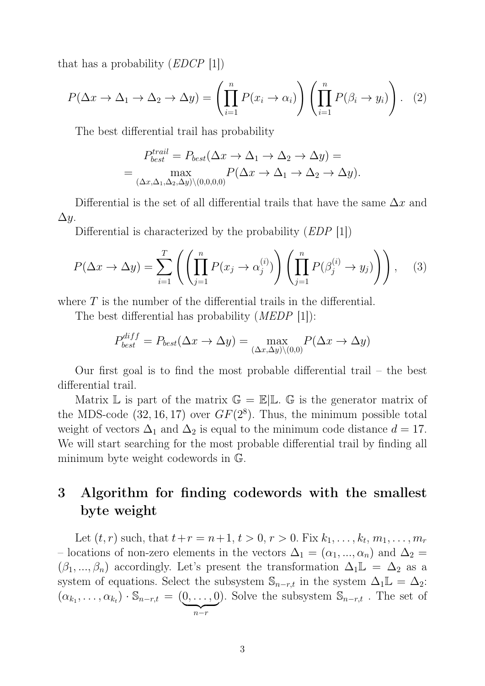that has a probability  $(EDCP \t[1])$ 

$$
P(\Delta x \to \Delta_1 \to \Delta_2 \to \Delta y) = \left(\prod_{i=1}^n P(x_i \to \alpha_i)\right) \left(\prod_{i=1}^n P(\beta_i \to y_i)\right). \tag{2}
$$

The best differential trail has probability

$$
P_{best}^{trail} = P_{best}(\Delta x \to \Delta_1 \to \Delta_2 \to \Delta y) =
$$
  
= 
$$
\max_{(\Delta x, \Delta_1, \Delta_2, \Delta y) \setminus (0,0,0,0)} P(\Delta x \to \Delta_1 \to \Delta_2 \to \Delta y).
$$

Differential is the set of all differential trails that have the same  $\Delta x$  and  $\Delta y$ .

Differential is characterized by the probability *(EDP* [1])

$$
P(\Delta x \to \Delta y) = \sum_{i=1}^{T} \left( \left( \prod_{j=1}^{n} P(x_j \to \alpha_j^{(i)}) \right) \left( \prod_{j=1}^{n} P(\beta_j^{(i)} \to y_j) \right) \right), \quad (3)
$$

where  $T$  is the number of the differential trails in the differential.

The best differential has probability *(MEDP* [1]):

$$
P_{best}^{diff} = P_{best}(\Delta x \to \Delta y) = \max_{(\Delta x, \Delta y) \setminus (0,0)} P(\Delta x \to \Delta y)
$$

Our first goal is to find the most probable differential trail – the best differential trail.

Matrix  $\mathbb L$  is part of the matrix  $\mathbb G = \mathbb E | \mathbb L$ .  $\mathbb G$  is the generator matrix of the MDS-code  $(32, 16, 17)$  over  $GF(2<sup>8</sup>)$ . Thus, the minimum possible total weight of vectors  $\Delta_1$  and  $\Delta_2$  is equal to the minimum code distance  $d = 17$ . We will start searching for the most probable differential trail by finding all minimum byte weight codewords in G.

## 3 Algorithm for finding codewords with the smallest byte weight

Let  $(t, r)$  such, that  $t + r = n + 1, t > 0, r > 0$ . Fix  $k_1, \ldots, k_t, m_1, \ldots, m_r$ – locations of non-zero elements in the vectors  $\Delta_1 = (\alpha_1, ..., \alpha_n)$  and  $\Delta_2 =$  $(\beta_1, ..., \beta_n)$  accordingly. Let's present the transformation  $\Delta_1\mathbb{L} = \Delta_2$  as a system of equations. Select the subsystem  $\mathbb{S}_{n-r,t}$  in the system  $\Delta_1\mathbb{L} = \Delta_2$ :  $(\alpha_{k_1},\ldots,\alpha_{k_t})\cdot\mathbb{S}_{n-r,t} = (0,\ldots,0)$  $\overline{n-r}$ ). Solve the subsystem  $\mathbb{S}_{n-r,t}$ . The set of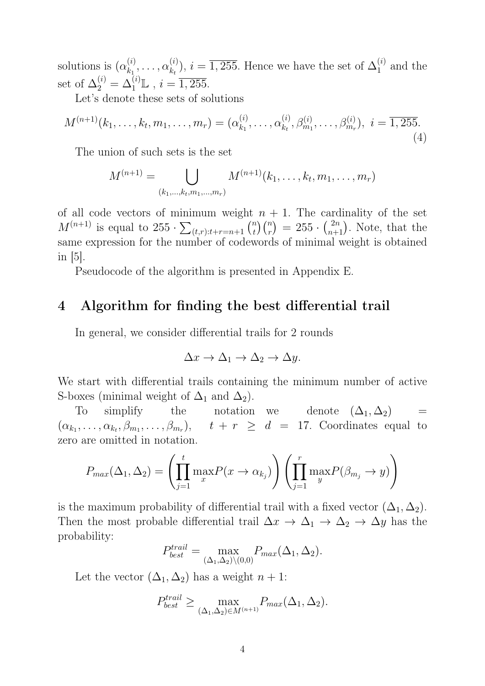solutions is  $(\alpha_k^{(i)})$  $\alpha_{k_1}^{(i)}, \ldots, \alpha_{k_t}^{(i)}$  $(k_k^{(i)}), i = \overline{1,255}$ . Hence we have the set of  $\Delta_1^{(i)}$  $_1^{(i)}$  and the set of  $\Delta_2^{(i)} = \Delta_1^{(i)} \mathbb{L}$ ,  $i = \overline{1,255}$ .

Let's denote these sets of solutions

$$
M^{(n+1)}(k_1, \ldots, k_t, m_1, \ldots, m_r) = (\alpha_{k_1}^{(i)}, \ldots, \alpha_{k_t}^{(i)}, \beta_{m_1}^{(i)}, \ldots, \beta_{m_r}^{(i)}), \ i = \overline{1,255}.
$$
\n(4)

The union of such sets is the set

$$
M^{(n+1)} = \bigcup_{(k_1,\ldots,k_t,m_1,\ldots,m_r)} M^{(n+1)}(k_1,\ldots,k_t,m_1,\ldots,m_r)
$$

of all code vectors of minimum weight  $n + 1$ . The cardinality of the set  $M^{(n+1)}$  is equal to  $255 \cdot \sum_{(t,r):t+r=n+1} \binom{n}{t}$  $\binom{n}{t}\binom{n}{r} = 255 \cdot \binom{2n}{n+1}$ . Note, that the same expression for the number of codewords of minimal weight is obtained in [5].

Pseudocode of the algorithm is presented in Appendix E.

### 4 Algorithm for finding the best differential trail

In general, we consider differential trails for 2 rounds

$$
\Delta x \to \Delta_1 \to \Delta_2 \to \Delta y.
$$

We start with differential trails containing the minimum number of active S-boxes (minimal weight of  $\Delta_1$  and  $\Delta_2$ ).

To simplify the notation we denote  $(\Delta_1, \Delta_2)$  =  $(\alpha_{k_1},\ldots,\alpha_{k_t},\beta_{m_1},\ldots,\beta_{m_r}), \quad t + r \geq d = 17.$  Coordinates equal to zero are omitted in notation.

$$
P_{max}(\Delta_1, \Delta_2) = \left(\prod_{j=1}^t \max_x P(x \to \alpha_{k_j})\right) \left(\prod_{j=1}^r \max_y P(\beta_{m_j} \to y)\right)
$$

is the maximum probability of differential trail with a fixed vector  $(\Delta_1, \Delta_2)$ . Then the most probable differential trail  $\Delta x \to \Delta_1 \to \Delta_2 \to \Delta y$  has the probability:

$$
P_{best}^{trail} = \max_{(\Delta_1, \Delta_2) \setminus (0,0)} P_{max}(\Delta_1, \Delta_2).
$$

Let the vector  $(\Delta_1, \Delta_2)$  has a weight  $n + 1$ :

$$
P_{best}^{trail} \ge \max_{(\Delta_1, \Delta_2) \in M^{(n+1)}} P_{max}(\Delta_1, \Delta_2).
$$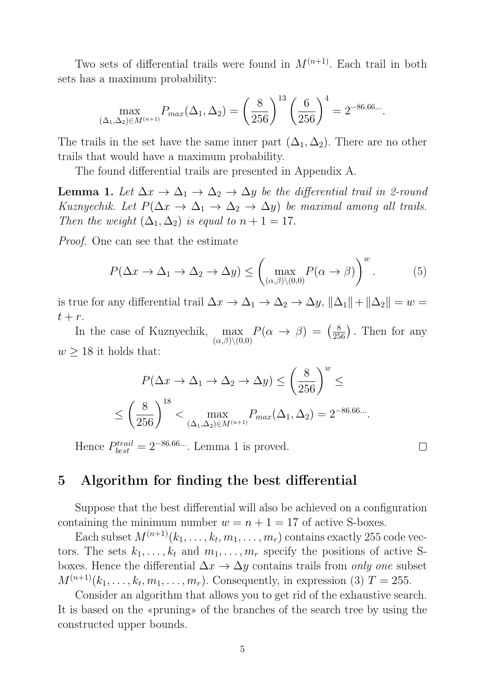Two sets of differential trails were found in  $M^{(n+1)}$ . Each trail in both sets has a maximum probability:

$$
\max_{(\Delta_1, \Delta_2) \in M^{(n+1)}} P_{max}(\Delta_1, \Delta_2) = \left(\frac{8}{256}\right)^{13} \left(\frac{6}{256}\right)^4 = 2^{-86.66...}.
$$

The trails in the set have the same inner part  $(\Delta_1, \Delta_2)$ . There are no other trails that would have a maximum probability.

The found differential trails are presented in Appendix A.

**Lemma 1.** Let  $\Delta x \to \Delta_1 \to \Delta_2 \to \Delta y$  be the differential trail in 2-round Kuznyechik. Let  $P(\Delta x \to \Delta_1 \to \Delta_2 \to \Delta y)$  be maximal among all trails. Then the weight  $(\Delta_1, \Delta_2)$  is equal to  $n + 1 = 17$ .

Proof. One can see that the estimate

$$
P(\Delta x \to \Delta_1 \to \Delta_2 \to \Delta y) \le \left(\max_{(\alpha,\beta)\setminus(0,0)} P(\alpha \to \beta)\right)^w.
$$
 (5)

is true for any differential trail  $\Delta x \to \Delta_1 \to \Delta_2 \to \Delta y$ ,  $\|\Delta_1\| + \|\Delta_2\| = w =$  $t + r$ .

In the case of Kuznyechik, max  $(\alpha,\beta)\backslash(0,0)$  $P(\alpha \rightarrow \beta) = \left(\frac{8}{256}\right)$ . Then for any  $w \geq 18$  it holds that:

$$
P(\Delta x \to \Delta_1 \to \Delta_2 \to \Delta y) \le \left(\frac{8}{256}\right)^w \le
$$
  

$$
\le \left(\frac{8}{256}\right)^{18} < \max_{(\Delta_1, \Delta_2) \in M^{(n+1)}} P_{max}(\Delta_1, \Delta_2) = 2^{-86.66...}.
$$

Hence  $P_{best}^{trail} = 2^{-86.66...}$ . Lemma 1 is proved.

 $\overline{\phantom{a}}$ 

### 5 Algorithm for finding the best differential

Suppose that the best differential will also be achieved on a configuration containing the minimum number  $w = n + 1 = 17$  of active S-boxes.

Each subset  $M^{(n+1)}(k_1,\ldots,k_t,m_1,\ldots,m_r)$  contains exactly 255 code vectors. The sets  $k_1, \ldots, k_t$  and  $m_1, \ldots, m_r$  specify the positions of active Sboxes. Hence the differential  $\Delta x \rightarrow \Delta y$  contains trails from *only one* subset  $M^{(n+1)}(k_1,\ldots,k_t,m_1,\ldots,m_r)$ . Consequently, in expression (3)  $T=255$ .

Consider an algorithm that allows you to get rid of the exhaustive search. It is based on the «pruning» of the branches of the search tree by using the constructed upper bounds.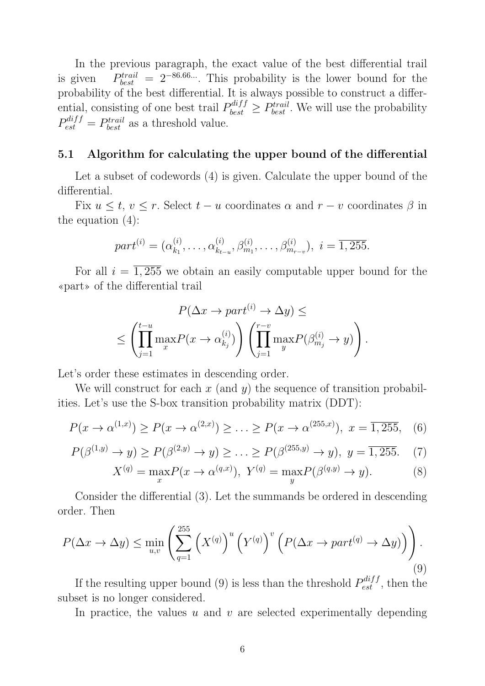In the previous paragraph, the exact value of the best differential trail is given  $\theta_{best}^{trail} = 2^{-86.66...}$ . This probability is the lower bound for the probability of the best differential. It is always possible to construct a differential, consisting of one best trail  $P_{best}^{diff} \geq P_{best}^{trail}$ . We will use the probability  $P_{est}^{diff} = P_{best}^{trail}$  as a threshold value.

#### 5.1 Algorithm for calculating the upper bound of the differential

Let a subset of codewords (4) is given. Calculate the upper bound of the differential.

Fix  $u \leq t, v \leq r$ . Select  $t - u$  coordinates  $\alpha$  and  $r - v$  coordinates  $\beta$  in the equation (4):

$$
part^{(i)} = (\alpha_{k_1}^{(i)}, \dots, \alpha_{k_{t-u}}^{(i)}, \beta_{m_1}^{(i)}, \dots, \beta_{m_{r-v}}^{(i)}), i = \overline{1,255}.
$$

For all  $i = \overline{1,255}$  we obtain an easily computable upper bound for the «part» of the differential trail

$$
P(\Delta x \to part^{(i)} \to \Delta y) \le
$$
  

$$
\leq \left(\prod_{j=1}^{t-u} \max_x P(x \to \alpha_{k_j}^{(i)})\right) \left(\prod_{j=1}^{r-v} \max_y P(\beta_{m_j}^{(i)} \to y)\right).
$$

Let's order these estimates in descending order.

We will construct for each x (and y) the sequence of transition probabilities. Let's use the S-box transition probability matrix (DDT):

$$
P(x \to \alpha^{(1,x)}) \ge P(x \to \alpha^{(2,x)}) \ge \ldots \ge P(x \to \alpha^{(255,x)}), \ x = \overline{1,255}, \quad (6)
$$

$$
P(\beta^{(1,y)} \to y) \ge P(\beta^{(2,y)} \to y) \ge \dots \ge P(\beta^{(255,y)} \to y), \ y = \overline{1,255}. \tag{7}
$$

$$
X^{(q)} = \max_{x} P(x \to \alpha^{(q,x)}), \ Y^{(q)} = \max_{y} P(\beta^{(q,y)} \to y).
$$
 (8)

Consider the differential (3). Let the summands be ordered in descending order. Then

$$
P(\Delta x \to \Delta y) \le \min_{u,v} \left( \sum_{q=1}^{255} \left( X^{(q)} \right)^u \left( Y^{(q)} \right)^v \left( P(\Delta x \to part^{(q)} \to \Delta y) \right) \right). \tag{9}
$$

If the resulting upper bound (9) is less than the threshold  $P_{est}^{diff}$ , then the subset is no longer considered.

In practice, the values  $u$  and  $v$  are selected experimentally depending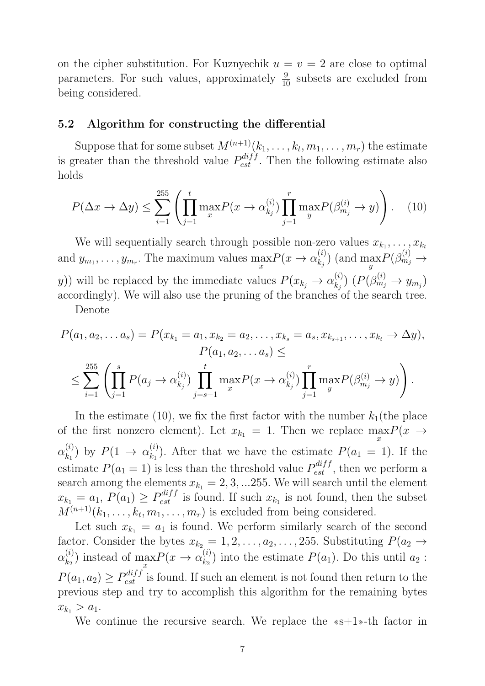on the cipher substitution. For Kuznyechik  $u = v = 2$  are close to optimal parameters. For such values, approximately  $\frac{9}{10}$  subsets are excluded from being considered.

#### 5.2 Algorithm for constructing the differential

Suppose that for some subset  $M^{(n+1)}(k_1,\ldots,k_t,m_1,\ldots,m_r)$  the estimate is greater than the threshold value  $P_{est}^{diff}$ . Then the following estimate also holds

$$
P(\Delta x \to \Delta y) \le \sum_{i=1}^{255} \left( \prod_{j=1}^t \max_x P(x \to \alpha_{k_j}^{(i)}) \prod_{j=1}^r \max_y P(\beta_{m_j}^{(i)} \to y) \right).
$$
 (10)

We will sequentially search through possible non-zero values  $x_{k_1}, \ldots, x_{k_t}$ and  $y_{m_1}, \ldots, y_{m_r}$ . The maximum values  $\max_x P(x \to \alpha_{k_j}^{(i)})$  $\binom{i}{k_j}$  (and  $\max_{y} P(\beta_{m_j}^{(i)} \rightarrow$ y)) will be replaced by the immediate values  $P(x_{k_j} \to \alpha_{k_j}^{(i)})$  $\binom{i}{k_j}$   $(P(\beta_{m_j}^{(i)} \to y_{m_j})$ accordingly). We will also use the pruning of the branches of the search tree.

Denote

$$
P(a_1, a_2,... a_s) = P(x_{k_1} = a_1, x_{k_2} = a_2,..., x_{k_s} = a_s, x_{k_{s+1}},..., x_{k_t} \to \Delta y),
$$
  
\n
$$
P(a_1, a_2,... a_s) \le
$$
  
\n
$$
\le \sum_{i=1}^{255} \left( \prod_{j=1}^{s} P(a_j \to \alpha_{k_j}^{(i)}) \prod_{j=s+1}^{t} \max_x P(x \to \alpha_{k_j}^{(i)}) \prod_{j=1}^{r} \max_y P(\beta_{m_j}^{(i)} \to y) \right).
$$

In the estimate (10), we fix the first factor with the number  $k_1$ (the place of the first nonzero element). Let  $x_{k_1} = 1$ . Then we replace  $\max_{x} P(x \rightarrow$  $\alpha_{k_1}^{(i)}$  $\binom{(i)}{k_1}$  by  $P(1 \to \alpha_{k_1}^{(i)})$  $k_1^{(i)}$ ). After that we have the estimate  $P(a_1 = 1)$ . If the estimate  $P(a_1 = 1)$  is less than the threshold value  $P_{est}^{diff}$ , then we perform a search among the elements  $x_{k_1} = 2, 3, ... 255$ . We will search until the element  $x_{k_1} = a_1$ ,  $P(a_1) \geq P_{est}^{diff}$  is found. If such  $x_{k_1}$  is not found, then the subset  $M^{(n+1)}(k_1,\ldots,k_t,m_1,\ldots,m_r)$  is excluded from being considered.

Let such  $x_{k_1} = a_1$  is found. We perform similarly search of the second factor. Consider the bytes  $x_{k_2} = 1, 2, \ldots, a_2, \ldots, 255$ . Substituting  $P(a_2 \rightarrow a_1, a_2, \ldots, a_n)$  $\alpha_k^{(i)}$  $\binom{i}{k_2}$  instead of  $\max_{x} P(x \to \alpha_{k_2}^{(i)})$  $\overline{x}$  $\binom{a}{k_2}$  into the estimate  $P(a_1)$ . Do this until  $a_2$ :  $P(a_1, a_2) \geq P_{est}^{diff}$  is found. If such an element is not found then return to the previous step and try to accomplish this algorithm for the remaining bytes  $x_{k_1} > a_1.$ 

We continue the recursive search. We replace the  $\infty+1$ -th factor in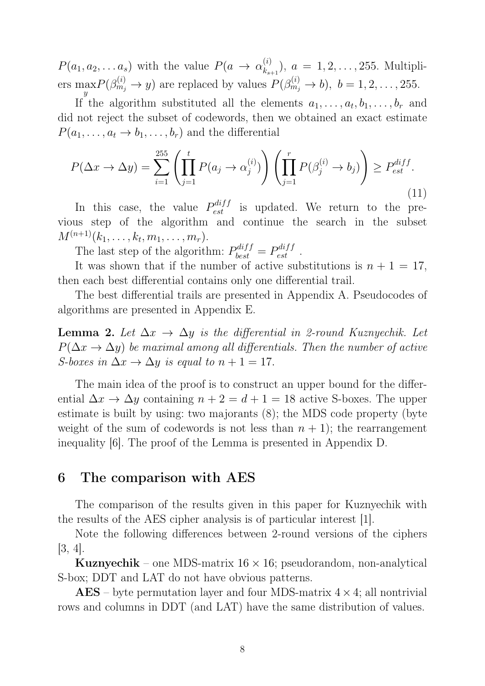$P(a_1, a_2, \ldots a_s)$  with the value  $P(a \to \alpha_{k_s}^{(i)})$  $\binom{n}{k_{s+1}}, a = 1, 2, \ldots, 255$ . Multipliers  $\max_{y} P(\beta_{m_j}^{(i)} \to y)$  are replaced by values  $P(\beta_{m_j}^{(i)} \to b)$ ,  $b = 1, 2, ..., 255$ .

If the algorithm substituted all the elements  $a_1, \ldots, a_t, b_1, \ldots, b_r$  and did not reject the subset of codewords, then we obtained an exact estimate  $P(a_1, \ldots, a_t \rightarrow b_1, \ldots, b_r)$  and the differential

$$
P(\Delta x \to \Delta y) = \sum_{i=1}^{255} \left( \prod_{j=1}^t P(a_j \to \alpha_j^{(i)}) \right) \left( \prod_{j=1}^r P(\beta_j^{(i)} \to b_j) \right) \ge P_{est}^{diff}.
$$
\n(11)

In this case, the value  $P_{est}^{diff}$  is updated. We return to the previous step of the algorithm and continue the search in the subset  $M^{(n+1)}(k_1, \ldots, k_t, m_1, \ldots, m_r).$ 

The last step of the algorithm:  $P_{best}^{diff} = P_{est}^{diff}$ .

It was shown that if the number of active substitutions is  $n + 1 = 17$ , then each best differential contains only one differential trail.

The best differential trails are presented in Appendix A. Pseudocodes of algorithms are presented in Appendix E.

**Lemma 2.** Let  $\Delta x \rightarrow \Delta y$  is the differential in 2-round Kuznyechik. Let  $P(\Delta x \to \Delta y)$  be maximal among all differentials. Then the number of active S-boxes in  $\Delta x \rightarrow \Delta y$  is equal to  $n + 1 = 17$ .

The main idea of the proof is to construct an upper bound for the differential  $\Delta x \to \Delta y$  containing  $n + 2 = d + 1 = 18$  active S-boxes. The upper estimate is built by using: two majorants (8); the MDS code property (byte weight of the sum of codewords is not less than  $n + 1$ ; the rearrangement inequality [6]. The proof of the Lemma is presented in Appendix D.

## 6 The comparison with AES

The comparison of the results given in this paper for Kuznyechik with the results of the AES cipher analysis is of particular interest [1].

Note the following differences between 2-round versions of the ciphers [3, 4].

**Kuznyechik** – one MDS-matrix  $16 \times 16$ ; pseudorandom, non-analytical S-box; DDT and LAT do not have obvious patterns.

 $\text{AES}$  – byte permutation layer and four MDS-matrix  $4 \times 4$ ; all nontrivial rows and columns in DDT (and LAT) have the same distribution of values.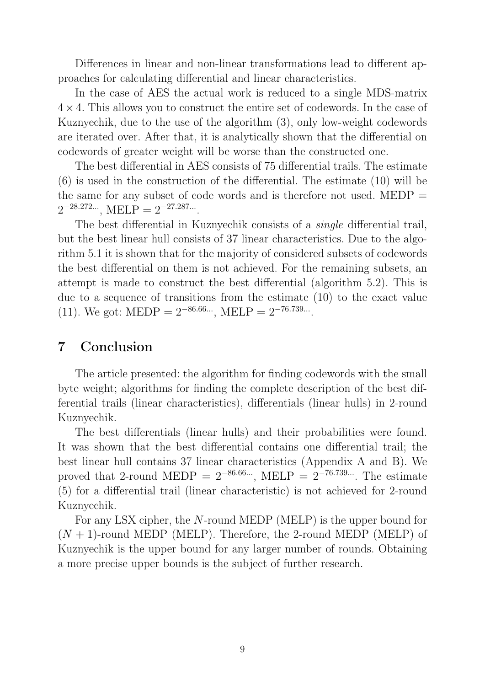Differences in linear and non-linear transformations lead to different approaches for calculating differential and linear characteristics.

In the case of AES the actual work is reduced to a single MDS-matrix  $4 \times 4$ . This allows you to construct the entire set of codewords. In the case of Kuznyechik, due to the use of the algorithm (3), only low-weight codewords are iterated over. After that, it is analytically shown that the differential on codewords of greater weight will be worse than the constructed one.

The best differential in AES consists of 75 differential trails. The estimate (6) is used in the construction of the differential. The estimate (10) will be the same for any subset of code words and is therefore not used. MEDP  $=$  $2^{-28.272...}$ , MELP =  $2^{-27.287...}$ .

The best differential in Kuznyechik consists of a single differential trail, but the best linear hull consists of 37 linear characteristics. Due to the algorithm 5.1 it is shown that for the majority of considered subsets of codewords the best differential on them is not achieved. For the remaining subsets, an attempt is made to construct the best differential (algorithm 5.2). This is due to a sequence of transitions from the estimate (10) to the exact value (11). We got: MEDP =  $2^{-86.66...}$ , MELP =  $2^{-76.739...}$ .

## 7 Conclusion

The article presented: the algorithm for finding codewords with the small byte weight; algorithms for finding the complete description of the best differential trails (linear characteristics), differentials (linear hulls) in 2-round Kuznyechik.

The best differentials (linear hulls) and their probabilities were found. It was shown that the best differential contains one differential trail; the best linear hull contains 37 linear characteristics (Appendix A and B). We proved that 2-round MEDP =  $2^{-86.66...}$ , MELP =  $2^{-76.739...}$ . The estimate (5) for a differential trail (linear characteristic) is not achieved for 2-round Kuznyechik.

For any LSX cipher, the N-round MEDP (MELP) is the upper bound for  $(N + 1)$ -round MEDP (MELP). Therefore, the 2-round MEDP (MELP) of Kuznyechik is the upper bound for any larger number of rounds. Obtaining a more precise upper bounds is the subject of further research.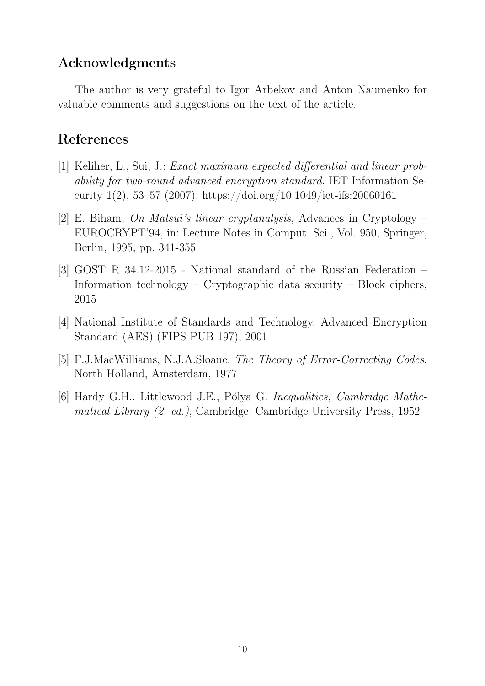## Acknowledgments

The author is very grateful to Igor Arbekov and Anton Naumenko for valuable comments and suggestions on the text of the article.

## References

- [1] Keliher, L., Sui, J.: Exact maximum expected differential and linear probability for two-round advanced encryption standard. IET Information Security 1(2), 53–57 (2007), https://doi.org/10.1049/iet-ifs:20060161
- [2] E. Biham, On Matsui's linear cryptanalysis, Advances in Cryptology EUROCRYPT'94, in: Lecture Notes in Comput. Sci., Vol. 950, Springer, Berlin, 1995, pp. 341-355
- [3] GOST R 34.12-2015 National standard of the Russian Federation Information technology – Cryptographic data security – Block ciphers, 2015
- [4] National Institute of Standards and Technology. Advanced Encryption Standard (AES) (FIPS PUB 197), 2001
- [5] F.J.MacWilliams, N.J.A.Sloane. The Theory of Error-Correcting Codes. North Holland, Amsterdam, 1977
- [6] Hardy G.H., Littlewood J.E., Pólya G. Inequalities, Cambridge Mathematical Library (2. ed.), Cambridge: Cambridge University Press, 1952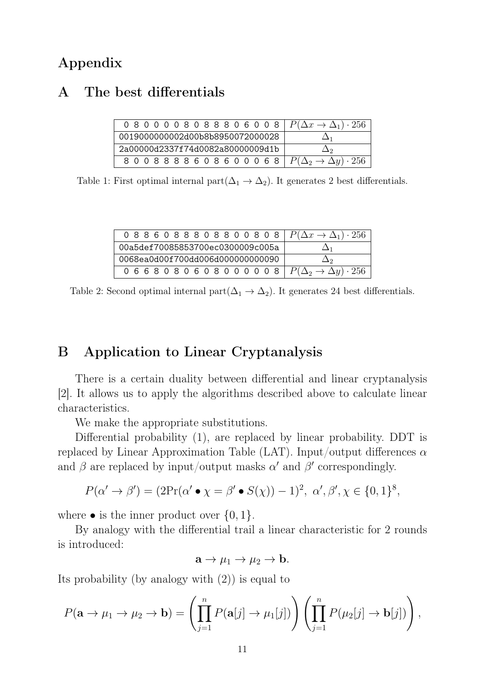## Appendix

## A The best differentials

| 0 8 0 0 0 0 8 0 8 8 8 0 6 0 0 8   $P(\Delta x \to \Delta_1) \cdot 256$ |    |
|------------------------------------------------------------------------|----|
| 0019000000002d00b8b8950072000028                                       | 1∆ |
| 2a00000d2337f74d0082a80000009d1b                                       | Дэ |
| 8 0 0 8 8 8 8 6 0 8 6 0 0 0 6 8   $P(\Delta_2 \to \Delta y) \cdot 256$ |    |

Table 1: First optimal internal part $(\Delta_1 \to \Delta_2)$ . It generates 2 best differentials.

| 0 8 8 6 0 8 8 8 0 8 8 0 0 8 0 8 $P(\Delta x \to \Delta_1) \cdot 256$   |          |
|------------------------------------------------------------------------|----------|
| 00a5def70085853700ec0300009c005a                                       | Δ1       |
| 0068ea0d00f700dd006d000000000090                                       | $\Delta$ |
| 0 6 6 8 0 8 0 6 0 8 0 0 0 0 0 8   $P(\Delta_2 \to \Delta y) \cdot 256$ |          |

Table 2: Second optimal internal part $(\Delta_1 \to \Delta_2)$ . It generates 24 best differentials.

## B Application to Linear Cryptanalysis

There is a certain duality between differential and linear cryptanalysis [2]. It allows us to apply the algorithms described above to calculate linear characteristics.

We make the appropriate substitutions.

Differential probability (1), are replaced by linear probability. DDT is replaced by Linear Approximation Table (LAT). Input/output differences  $\alpha$ and  $\beta$  are replaced by input/output masks  $\alpha'$  and  $\beta'$  correspondingly.

$$
P(\alpha' \to \beta') = (2\Pr(\alpha' \bullet \chi = \beta' \bullet S(\chi)) - 1)^2, \ \alpha', \beta', \chi \in \{0, 1\}^8,
$$

where  $\bullet$  is the inner product over  $\{0,1\}$ .

By analogy with the differential trail a linear characteristic for 2 rounds is introduced:

$$
\mathbf{a} \to \mu_1 \to \mu_2 \to \mathbf{b}.
$$

Its probability (by analogy with (2)) is equal to

$$
P(\mathbf{a} \to \mu_1 \to \mu_2 \to \mathbf{b}) = \left(\prod_{j=1}^n P(\mathbf{a}[j] \to \mu_1[j])\right) \left(\prod_{j=1}^n P(\mu_2[j] \to \mathbf{b}[j])\right),
$$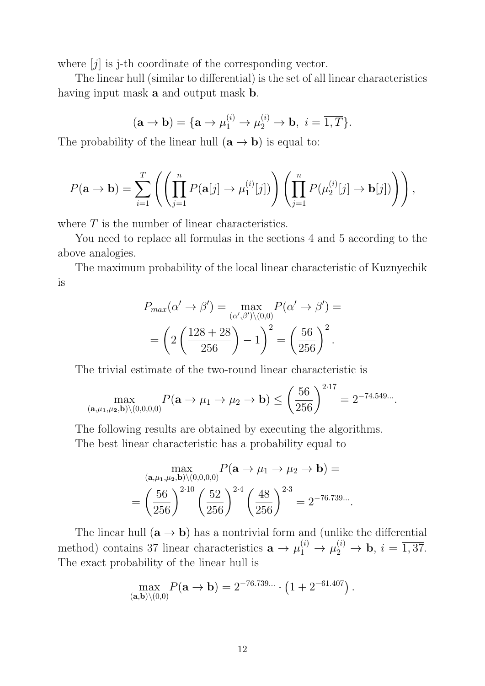where  $[j]$  is j-th coordinate of the corresponding vector.

The linear hull (similar to differential) is the set of all linear characteristics having input mask **a** and output mask **b**.

$$
(\mathbf{a} \to \mathbf{b}) = {\mathbf{a} \to \mu_1^{(i)} \to \mu_2^{(i)} \to \mathbf{b}, i = \overline{1, T}}.
$$

The probability of the linear hull  $(\mathbf{a} \to \mathbf{b})$  is equal to:

$$
P(\mathbf{a} \to \mathbf{b}) = \sum_{i=1}^{T} \left( \left( \prod_{j=1}^{n} P(\mathbf{a}[j] \to \mu_1^{(i)}[j]) \right) \left( \prod_{j=1}^{n} P(\mu_2^{(i)}[j] \to \mathbf{b}[j]) \right) \right),
$$

where  $T$  is the number of linear characteristics.

You need to replace all formulas in the sections 4 and 5 according to the above analogies.

The maximum probability of the local linear characteristic of Kuznyechik is

$$
P_{max}(\alpha' \to \beta') = \max_{(\alpha', \beta') \setminus (0,0)} P(\alpha' \to \beta') =
$$

$$
= \left(2\left(\frac{128 + 28}{256}\right) - 1\right)^2 = \left(\frac{56}{256}\right)^2.
$$

The trivial estimate of the two-round linear characteristic is

$$
\max_{(\mathbf{a},\mu_1,\mu_2,\mathbf{b})\setminus(0,0,0,0)} P(\mathbf{a}\to\mu_1\to\mu_2\to\mathbf{b}) \le \left(\frac{56}{256}\right)^{2\cdot 17} = 2^{-74.549\ldots}.
$$

The following results are obtained by executing the algorithms. The best linear characteristic has a probability equal to

$$
\max_{(\mathbf{a}, \mu_1, \mu_2, \mathbf{b}) \setminus (0,0,0,0)} P(\mathbf{a} \to \mu_1 \to \mu_2 \to \mathbf{b}) =
$$
  
=  $\left(\frac{56}{256}\right)^{2 \cdot 10} \left(\frac{52}{256}\right)^{2 \cdot 4} \left(\frac{48}{256}\right)^{2 \cdot 3} = 2^{-76.739...}$ .

The linear hull  $(\mathbf{a} \rightarrow \mathbf{b})$  has a nontrivial form and (unlike the differential method) contains 37 linear characteristics  $\mathbf{a} \to \mu_1^{(i)} \to \mu_2^{(i)} \to \mathbf{b}, i = \overline{1,37}$ . The exact probability of the linear hull is

$$
\max_{(\mathbf{a},\mathbf{b})\setminus(0,0)} P(\mathbf{a}\to\mathbf{b}) = 2^{-76.739...} \cdot (1 + 2^{-61.407}).
$$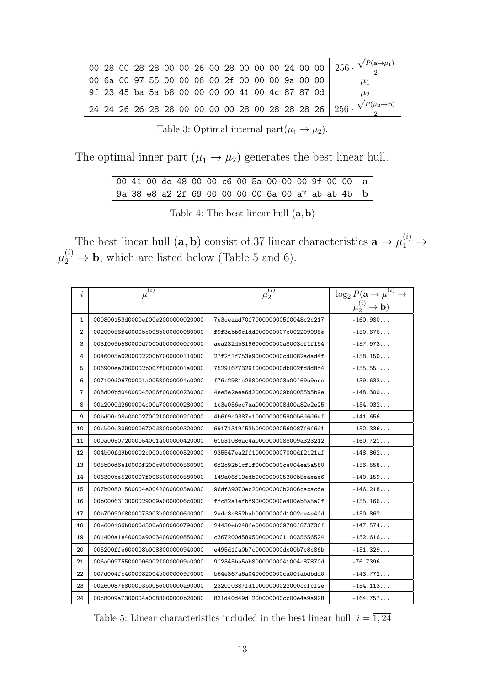|                                                 |  |  |  |  |  |  |  | 00 28 00 28 28 00 00 26 00 28 00 00 00 24 00 00   $256 \cdot \frac{\sqrt{P(a \rightarrow \mu_1)}}{2}$ |
|-------------------------------------------------|--|--|--|--|--|--|--|-------------------------------------------------------------------------------------------------------|
| 00 6a 00 97 55 00 00 06 00 2f 00 00 00 9a 00 00 |  |  |  |  |  |  |  | $\mu_1$                                                                                               |
| 9f 23 45 ba 5a b8 00 00 00 00 41 00 4c 87 87 0d |  |  |  |  |  |  |  | $\mu_2$                                                                                               |
|                                                 |  |  |  |  |  |  |  | 24 24 26 26 28 28 00 00 00 00 28 00 28 28 28 26   $256 \cdot \frac{\sqrt{P(\mu_2 \rightarrow b)}}{2}$ |

Table 3: Optimal internal part $(\mu_1 \to \mu_2)$ .

The optimal inner part  $(\mu_1 \rightarrow \mu_2)$  generates the best linear hull.

| 00 41 00 de 48 00 00 c6 00 5a 00 00 00 9f 00 00   a           |  |  |  |  |  |  |  |  |
|---------------------------------------------------------------|--|--|--|--|--|--|--|--|
| 9a 38 e8 a2 2f 69 00 00 00 00 6a 00 a7 ab ab 4b   $\mathrm b$ |  |  |  |  |  |  |  |  |

Table 4: The best linear hull  $(a, b)$ 

The best linear hull  $(\mathbf{a}, \mathbf{b})$  consist of 37 linear characteristics  $\mathbf{a} \to \mu_1^{(i)} \to$  $\mu_2^{(i)} \to \mathbf{b}$ , which are listed below (Table 5 and 6).

| i              | $\mu_1^{(i)}$                    | $\mu_2^{(i)}$                    | $\log_2 P(\mathbf{a} \to \mu_1^{(i)} \to$ |
|----------------|----------------------------------|----------------------------------|-------------------------------------------|
|                |                                  |                                  | $\mu_2^{(i)} \to \mathbf{b}$              |
| 1              | 000800153d0000ef00e2000000020000 | 7e3ceaad70f7000000005f0048c2c217 | $-160.980$                                |
| $\overline{2}$ | 00200056f40000bc008b000000080000 | f9f3abb6c1dd000000007c002209095e | $-150.676$                                |
| 3              | 003f009b580000d7000d0000000f0000 | aea232db819600000000a8003cf1f194 | $-157.973$                                |
| 4              | 0046005e0200002200b7000000110000 | 27f2f1f753e900000000cd0082adad4f | $-158.150$                                |
| 5              | 006900ee2000002b007f0000001a0000 | 75291677329100000000db002fd8d8f4 | $-155.551$                                |
| 6              | 007100d06700001a00580000001c0000 | f76c2981a288000000003a00f69e9ecc | $-139.633$                                |
| $\overline{7}$ | 008d00bd04000045006f000000230000 | 4ee5e2eea6d2000000009b00055b5b9e | $-148.300$                                |
| 8              | 00a2000d2600004c00a7000000280000 | 1c3e056ec7aa000000008d00a82e2e25 | $-154.032$                                |
| 9              | 00bd00c08a00002700210000002f0000 | 4b6f9c0387e1000000005900b6d6d6ef | $-141.656$                                |
| 10             | 00cb00e30600006700d8000000320000 | 69171319f53b00000000560087f6f6d1 | $-152.336$                                |
| 11             | 000a005072000054001a000000420000 | 61b31086ac4a0000000088009a323212 | $-160.721$                                |
| 12             | 004b00fd9b00002c000c000000520000 | 935547ea2ff1000000007000df2121af | $-148.862$                                |
| 13             | 005b00d6e10000f200c9000000560000 | 6f2c92b1cf1f00000000ce004ea5a580 | $-156.558$                                |
| 14             | 006300be5200007f0065000000580000 | 149a06f19edb000000005300b5eaeae6 | $-140.159$                                |
| 15             | 007b00801500004e00420000005e0000 | 96df39070ec200000000b2006cacacde | $-146.218$                                |
| 16             | 00b0006313000029009a0000006c0000 | ffc82a1efbf900000000e400eb5a5a0f | $-155.166$                                |
| 17             | 00b70090f8000073003b0000006d0000 | 2adc8c852bab00000000d1002ce4e4fd | $-150.862$                                |
| 18             | 00e600166b0000d500e8000000790000 | 24430eb248fe000000009700f873736f | $-147.574$                                |
| 19             | 001400a1e40000a90034000000850000 | c367200d589500000000110035656524 | $-152.616$                                |
| 20             | 005200ffe600008b0083000000940000 | e495d1fa0b7c00000000dc00b7c8c86b | $-151.329$                                |
| 21             | 006a009755000006002f0000009a0000 | 9f2345ba5ab80000000041004c87870d | $-76.7396$                                |
| 22             | 007d004fc4000082004b0000009f0000 | b64e367a6a0400000000ca001abdbdd0 | $-143.772$                                |
| 23             | 00a60087b800003b0056000000a90000 | 2320f0387fd10000000022000ccfcf2e | $-154.113$                                |
| 24             | 00c8009a7300004a0088000000b20000 | 831d40d49d1200000000cc00e4a9a928 | $-164.757$                                |

Table 5: Linear characteristics included in the best linear hull.  $i = \overline{1, 24}$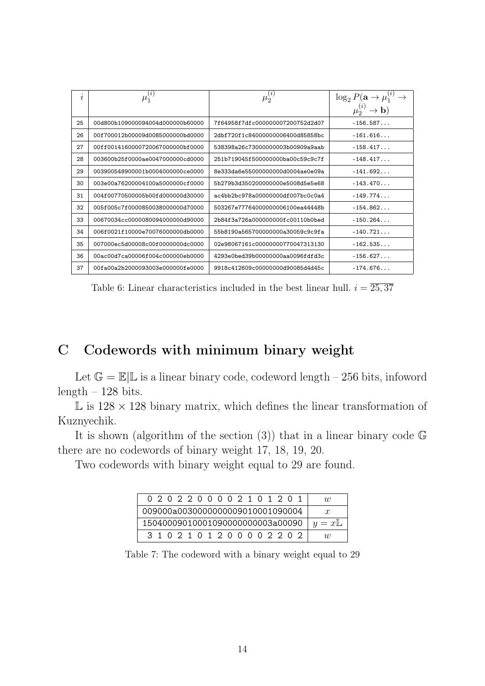| $\boldsymbol{\eta}$ | $\bar{\mu_1^{(i)}}$               | $\bar{\mu}_2^{(i)}$              | $\log_2 P(\mathbf{a} \to \mu_1^{(i)} \to$ |
|---------------------|-----------------------------------|----------------------------------|-------------------------------------------|
|                     |                                   |                                  | $\mu_2^{(i)} \to \mathbf{b}$              |
| 25                  | 00d800b109000094004d000000b60000  | 7f64958f7dfc000000007200752d2d07 | $-156.587$                                |
| 26                  | 00f700012b00009d0085000000bd0000  | 2dbf720f1c84000000006400d85858bc | $-161.616$                                |
| 27                  | 00ff0014160000720067000000bf0000  | 538398a26c73000000003b00909a9aab | $-158.417$                                |
| 28                  | 003600b25f0000ae0047000000cd0000  | 251b719045f500000000ba00c59c9c7f | $-148.417$                                |
| 29                  | 003900548900001b0004000000ce0000  | 8e333da6e55000000000d0004ae0e09a | $-141.692$                                |
| 30                  | 003e00a76200004100a5000000cf0000  | 5b279b3d350200000000e5008d5e5e68 | $-143.470$                                |
| 31                  | 004f00770500005b00fd000000d30000  | ac4bb2bc978a00000000df007bc0c0a4 | $-149.774$                                |
| 32                  | 005f005c7f0000850038000000d70000  | 503267e77764000000006100ea44448b | $-154.862$                                |
| 33                  | 00670034cc00000800940000000490000 | 2b84f3a726a000000000fc00110b0bed | $-150.264$                                |
| 34                  | 006f0021f10000e70076000000db0000  | 55b8190a565700000000a30059c9c9fa | $-140.721$                                |
| 35                  | 007000ec5d00008c00f0000000dc0000  | 02e98067161c00000000770047313130 | $-162.535$                                |
| 36                  | 00ac00d7ca00006f004c000000eb0000  | 4293e0bed39b00000000aa0096fdfd3c | $-156.627$                                |
| 37                  | 00fa00a2b2000093003e000000fe0000  | 9918c412609c00000000d90085d4d45c | $-174.676$                                |

Table 6: Linear characteristics included in the best linear hull.  $i = \overline{25,37}$ 

## C Codewords with minimum binary weight

Let  $\mathbb{G} = \mathbb{E} | \mathbb{L}$  is a linear binary code, codeword length – 256 bits, infoword  $length - 128$  bits.

 $\mathbb{L}$  is  $128 \times 128$  binary matrix, which defines the linear transformation of Kuznyechik.

It is shown (algorithm of the section  $(3)$ ) that in a linear binary code G there are no codewords of binary weight 17, 18, 19, 20.

Two codewords with binary weight equal to 29 are found.

| 0202200002101201                         |  |
|------------------------------------------|--|
| 009000a0030000000009010001090004         |  |
| 15040009010001090000000003a00090 $ y=xL$ |  |
| 3102101200002202                         |  |

Table 7: The codeword with a binary weight equal to 29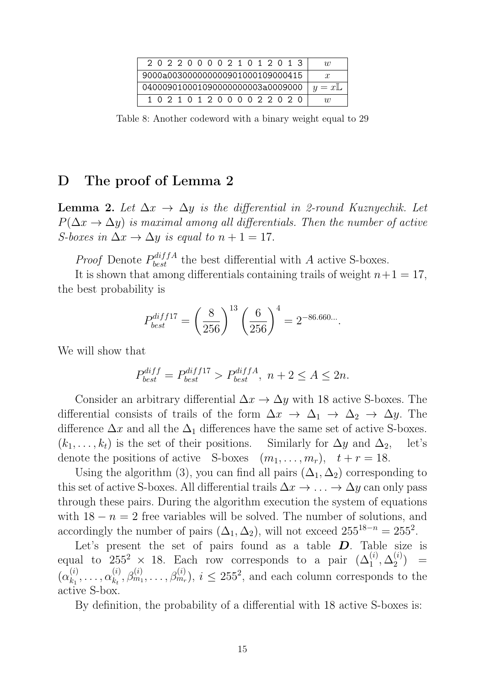| 2022000021012013                  | $\eta$        |
|-----------------------------------|---------------|
| 9000a003000000000901000109000415  | $\mathcal{X}$ |
| 0400090100010900000000003a0009000 | $ y=xL $      |
| 1 0 2 1 0 1 2 0 0 0 0 2 2 0 2 0   | $\eta$        |

Table 8: Another codeword with a binary weight equal to 29

### D The proof of Lemma 2

**Lemma 2.** Let  $\Delta x \rightarrow \Delta y$  is the differential in 2-round Kuznyechik. Let  $P(\Delta x \to \Delta y)$  is maximal among all differentials. Then the number of active S-boxes in  $\Delta x \rightarrow \Delta y$  is equal to  $n + 1 = 17$ .

*Proof* Denote  $P_{best}^{diffA}$  the best differential with A active S-boxes.

It is shown that among differentials containing trails of weight  $n+1 = 17$ , the best probability is

$$
P_{best}^{diff17} = \left(\frac{8}{256}\right)^{13} \left(\frac{6}{256}\right)^4 = 2^{-86.660...}.
$$

We will show that

$$
P_{best}^{diff} = P_{best}^{diff17} > P_{best}^{diffA}, n + 2 \le A \le 2n.
$$

Consider an arbitrary differential  $\Delta x \rightarrow \Delta y$  with 18 active S-boxes. The differential consists of trails of the form  $\Delta x \to \Delta_1 \to \Delta_2 \to \Delta y$ . The difference  $\Delta x$  and all the  $\Delta_1$  differences have the same set of active S-boxes.  $(k_1, \ldots, k_t)$  is the set of their positions. Similarly for  $\Delta y$  and  $\Delta_2$ , let's denote the positions of active S-boxes  $(m_1, \ldots, m_r), t + r = 18$ .

Using the algorithm (3), you can find all pairs  $(\Delta_1, \Delta_2)$  corresponding to this set of active S-boxes. All differential trails  $\Delta x \to \ldots \to \Delta y$  can only pass through these pairs. During the algorithm execution the system of equations with  $18 - n = 2$  free variables will be solved. The number of solutions, and accordingly the number of pairs  $(\Delta_1, \Delta_2)$ , will not exceed  $255^{18-n} = 255^2$ .

Let's present the set of pairs found as a table  $D$ . Table size is equal to  $255^2 \times 18$ . Each row corresponds to a pair  $(\Delta_1^{(i)}, \Delta_2^{(i)})$  $\binom{v}{2}$  =  $(\alpha_k^{(i)}$  $\alpha_{k_1}^{(i)}, \ldots, \alpha_{k_t}^{(i)}$  $\lambda_{k_t}^{(i)}, \beta_{m_1}^{(i)}, \ldots, \beta_{m_r}^{(i)}$ ,  $i \leq 255^2$ , and each column corresponds to the active S-box.

By definition, the probability of a differential with 18 active S-boxes is: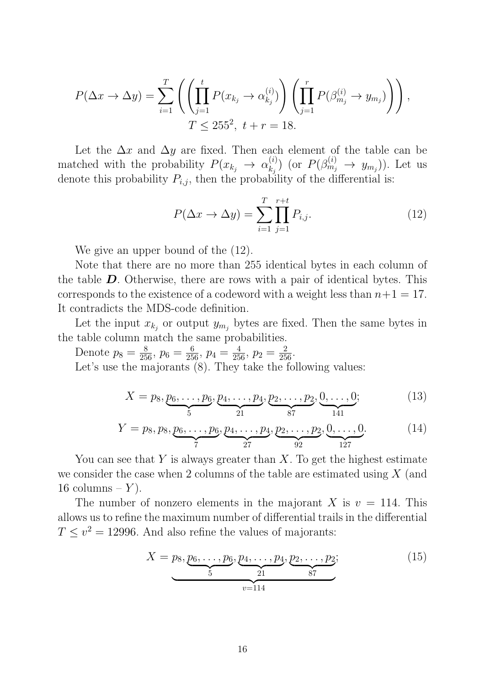$$
P(\Delta x \to \Delta y) = \sum_{i=1}^{T} \left( \left( \prod_{j=1}^{t} P(x_{k_j} \to \alpha_{k_j}^{(i)}) \right) \left( \prod_{j=1}^{r} P(\beta_{m_j}^{(i)} \to y_{m_j}) \right) \right),
$$
  

$$
T \le 255^2, \ t+r = 18.
$$

Let the  $\Delta x$  and  $\Delta y$  are fixed. Then each element of the table can be matched with the probability  $P(x_{k_j} \rightarrow \alpha_{k_j}^{(i)})$  $\binom{(i)}{k_j}$  (or  $P(\beta_{m_j}^{(i)} \rightarrow y_{m_j})$ ). Let us denote this probability  $P_{i,j}$ , then the probability of the differential is:

$$
P(\Delta x \to \Delta y) = \sum_{i=1}^{T} \prod_{j=1}^{r+t} P_{i,j}.
$$
 (12)

We give an upper bound of the  $(12)$ .

Note that there are no more than 255 identical bytes in each column of the table  $\bm{D}$ . Otherwise, there are rows with a pair of identical bytes. This corresponds to the existence of a codeword with a weight less than  $n+1 = 17$ . It contradicts the MDS-code definition.

Let the input  $x_{k_j}$  or output  $y_{m_j}$  bytes are fixed. Then the same bytes in the table column match the same probabilities.

Denote  $p_8 = \frac{8}{256}$ ,  $p_6 = \frac{6}{256}$ ,  $p_4 = \frac{4}{256}$ ,  $p_2 = \frac{2}{256}$ . Let's use the majorants  $(8)$ . They take the following values:

$$
X = p_8, \underbrace{p_6, \dots, p_6}_{5}, \underbrace{p_4, \dots, p_4}_{21}, \underbrace{p_2, \dots, p_2}_{87}, \underbrace{0, \dots, 0}_{141};
$$
 (13)

$$
Y = p_8, p_8, \underbrace{p_6, \dots, p_6}_{7}, \underbrace{p_4, \dots, p_4}_{27}, \underbrace{p_2, \dots, p_2}_{92}, \underbrace{0, \dots, 0}_{127}.
$$
 (14)

You can see that Y is always greater than X. To get the highest estimate we consider the case when 2 columns of the table are estimated using  $X$  (and 16 columns –  $Y$ ).

The number of nonzero elements in the majorant X is  $v = 114$ . This allows us to refine the maximum number of differential trails in the differential  $T \le v^2 = 12996$ . And also refine the values of majorants:

$$
X = p_8, \underbrace{p_6, \dots, p_6}_{5}, \underbrace{p_4, \dots, p_4}_{21}, \underbrace{p_2, \dots, p_2}_{87};
$$
\n<sup>(15)</sup>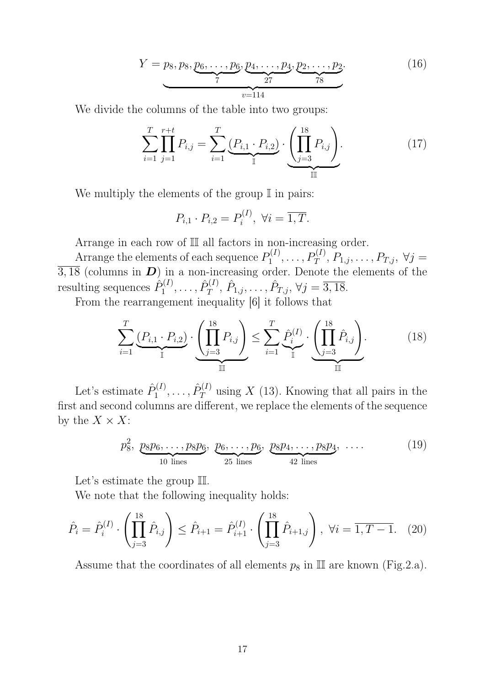$$
Y = p_8, p_8, \underbrace{p_6, \dots, p_6}_{7}, \underbrace{p_4, \dots, p_4}_{27}, \underbrace{p_2, \dots, p_2}_{78}.
$$
 (16)

We divide the columns of the table into two groups:

$$
\sum_{i=1}^{T} \prod_{j=1}^{r+t} P_{i,j} = \sum_{i=1}^{T} \underbrace{(P_{i,1} \cdot P_{i,2})}_{\mathbb{I}} \cdot \underbrace{\left(\prod_{j=3}^{18} P_{i,j}\right)}_{\mathbb{II}}.
$$
 (17)

We multiply the elements of the group  $\mathbb I$  in pairs:

$$
P_{i,1} \cdot P_{i,2} = P_i^{(I)}, \ \forall i = \overline{1,T}.
$$

Arrange in each row of II all factors in non-increasing order.

Arrange the elements of each sequence  $P_1^{(I)}$  $P_1^{(I)}, \ldots, P_T^{(I)}, P_{1,j}, \ldots, P_{T,j}, \forall j =$  $\overline{3,18}$  (columns in  $\overline{D}$ ) in a non-increasing order. Denote the elements of the resulting sequences  $\hat{P}_1^{(I)}$  $\hat{P}^{(I)}_1, \ldots, \hat{P}^{(I)}_T$  $\hat{P}_{T}^{(I)}, \hat{P}_{1,j}, \ldots, \hat{P}_{T,j}, \forall j = \overline{3,18}.$ 

From the rearrangement inequality [6] it follows that

$$
\sum_{i=1}^{T} \underbrace{(P_{i,1} \cdot P_{i,2})}_{\mathbb{I}} \cdot \underbrace{\left(\prod_{j=3}^{18} P_{i,j}\right)}_{\mathbb{II}} \le \sum_{i=1}^{T} \underbrace{\hat{P}_i^{(I)}}_{\mathbb{I}} \cdot \underbrace{\left(\prod_{j=3}^{18} \hat{P}_{i,j}\right)}_{\mathbb{III}}.
$$
 (18)

Let's estimate  $\hat{P}_1^{(I)}$  $\hat{P}^{(I)}_1, \ldots, \hat{P}^{(I)}_T$  $T^{(1)}$  using X (13). Knowing that all pairs in the first and second columns are different, we replace the elements of the sequence by the  $X \times X$ :

$$
p_8^2, \underbrace{p_8p_6,\ldots,p_8p_6}_{10 \text{ lines}}, \underbrace{p_6,\ldots,p_6}_{25 \text{ lines}}, \underbrace{p_8p_4,\ldots,p_8p_4}_{42 \text{ lines}}, \ldots
$$
 (19)

Let's estimate the group  $\mathbb{II}$ .

We note that the following inequality holds:

$$
\hat{P}_i = \hat{P}_i^{(I)} \cdot \left( \prod_{j=3}^{18} \hat{P}_{i,j} \right) \le \hat{P}_{i+1} = \hat{P}_{i+1}^{(I)} \cdot \left( \prod_{j=3}^{18} \hat{P}_{i+1,j} \right), \ \forall i = \overline{1, T - 1}. \tag{20}
$$

Assume that the coordinates of all elements  $p_8$  in  $\mathbb{II}$  are known (Fig.2.a).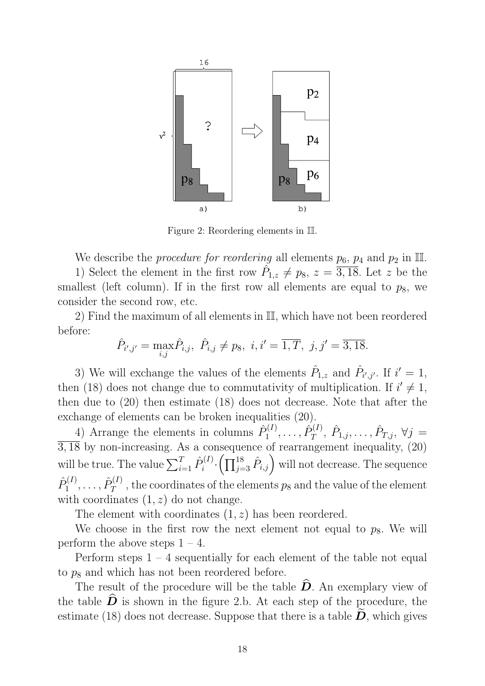

Figure 2: Reordering elements in II.

We describe the *procedure for reordering* all elements  $p_6$ ,  $p_4$  and  $p_2$  in II. 1) Select the element in the first row  $\hat{P}_{1,z} \neq p_8$ ,  $z = \overline{3,18}$ . Let z be the smallest (left column). If in the first row all elements are equal to  $p_8$ , we consider the second row, etc.

2) Find the maximum of all elements in II, which have not been reordered before:

$$
\hat{P}_{i',j'} = \max_{i,j} \hat{P}_{i,j}, \ \hat{P}_{i,j} \neq p_8, \ i, i' = \overline{1,T}, \ j, j' = \overline{3,18}.
$$

3) We will exchange the values of the elements  $\hat{P}_{1,z}$  and  $\hat{P}_{i',j'}$ . If  $i'=1$ , then (18) does not change due to commutativity of multiplication. If  $i' \neq 1$ , then due to (20) then estimate (18) does not decrease. Note that after the exchange of elements can be broken inequalities (20).

4) Arrange the elements in columns  $\hat{P}_1^{(I)}$  $\hat{P}^{(I)}_1, \ldots, \hat{P}^{(I)}_T$  $\hat{P}_{T,\,j}^{(I)},\ \hat{P}_{1,j},\ldots,\hat{P}_{T,j},\ \forall j\,=\,$  $\overline{3,18}$  by non-increasing. As a consequence of rearrangement inequality, (20) will be true. The value  $\sum_{i=1}^{T} \hat{P}_{i}^{(I)}$  $\hat{P}^{(I)}_{i} \cdot \left( \prod_{j=3}^{18} \hat{P}_{i,j} \right)$  will not decrease. The sequence  $\hat{P}^{(I)}_1$  $\hat{P}^{(I)}_1, \ldots, \hat{P}^{(I)}_T$  $T^{(1)}$ , the coordinates of the elements  $p_8$  and the value of the element with coordinates  $(1, z)$  do not change.

The element with coordinates (1, z) has been reordered.

We choose in the first row the next element not equal to  $p_8$ . We will perform the above steps  $1 - 4$ .

Perform steps  $1 - 4$  sequentially for each element of the table not equal to  $p_8$  and which has not been reordered before.

The result of the procedure will be the table  $\hat{\mathbf{D}}$ . An exemplary view of the table  $\overline{D}$  is shown in the figure 2.b. At each step of the procedure, the estimate (18) does not decrease. Suppose that there is a table  $D$ , which gives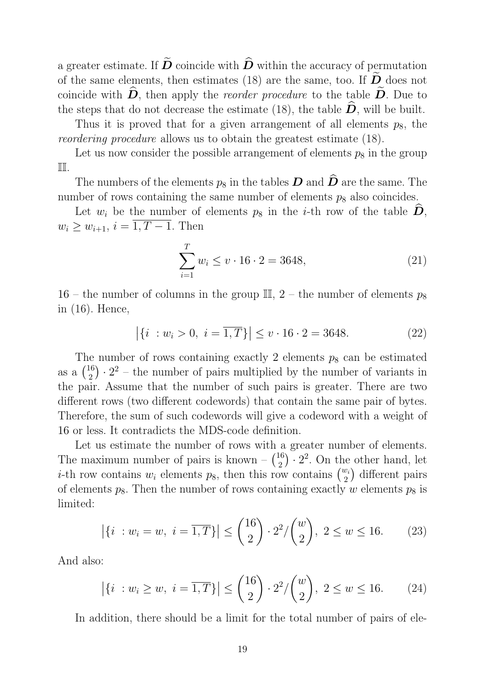a greater estimate. If  $\widetilde{D}$  coincide with  $\widehat{D}$  within the accuracy of permutation of the same elements, then estimates (18) are the same, too. If  $\widetilde{D}$  does not coincide with  $\hat{\bm{D}}$ , then apply the *reorder procedure* to the table  $\tilde{\bm{D}}$ . Due to the steps that do not decrease the estimate (18), the table  $\hat{\boldsymbol{D}}$ , will be built.

Thus it is proved that for a given arrangement of all elements  $p_8$ , the reordering procedure allows us to obtain the greatest estimate (18).

Let us now consider the possible arrangement of elements  $p_8$  in the group II.

The numbers of the elements  $p_8$  in the tables  $\boldsymbol{D}$  and  $\widehat{\boldsymbol{D}}$  are the same. The number of rows containing the same number of elements  $p_8$  also coincides.

Let  $w_i$  be the number of elements  $p_8$  in the *i*-th row of the table  $\overline{D}$ ,  $w_i \geq w_{i+1}, i = \overline{1, T-1}.$  Then

$$
\sum_{i=1}^{T} w_i \le v \cdot 16 \cdot 2 = 3648,\tag{21}
$$

16 – the number of columns in the group  $\mathbb{II}, 2$  – the number of elements  $p_8$ in (16). Hence,

$$
|\{i : w_i > 0, i = \overline{1, T}\}| \le v \cdot 16 \cdot 2 = 3648.
$$
 (22)

The number of rows containing exactly 2 elements  $p_8$  can be estimated as a  $\binom{16}{2}$  $\binom{16}{2} \cdot 2^2$  – the number of pairs multiplied by the number of variants in the pair. Assume that the number of such pairs is greater. There are two different rows (two different codewords) that contain the same pair of bytes. Therefore, the sum of such codewords will give a codeword with a weight of 16 or less. It contradicts the MDS-code definition.

Let us estimate the number of rows with a greater number of elements. The maximum number of pairs is known  $\binom{16}{2}$  $\binom{16}{2} \cdot 2^2$ . On the other hand, let *i*-th row contains  $w_i$  elements  $p_8$ , then this row contains  $\binom{w_i}{2}$  different pairs of elements  $p_8$ . Then the number of rows containing exactly w elements  $p_8$  is limited:

$$
|\{i : w_i = w, i = \overline{1,T}\}| \leq {16 \choose 2} \cdot 2^2 / {w \choose 2}, 2 \leq w \leq 16.
$$
 (23)

And also:

$$
|\{i : w_i \ge w, i = \overline{1,T}\}| \le {16 \choose 2} \cdot 2^2 / {w \choose 2}, 2 \le w \le 16.
$$
 (24)

In addition, there should be a limit for the total number of pairs of ele-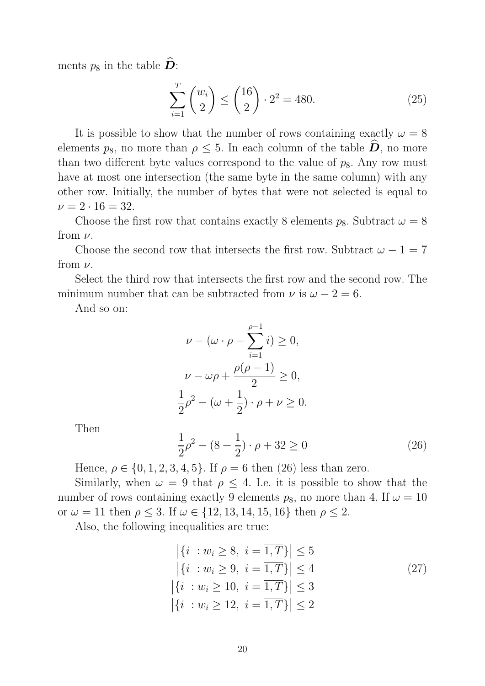ments  $p_8$  in the table  $\widehat{\mathbf{D}}$ :

$$
\sum_{i=1}^{T} \binom{w_i}{2} \le \binom{16}{2} \cdot 2^2 = 480. \tag{25}
$$

It is possible to show that the number of rows containing exactly  $\omega = 8$ elements  $p_8$ , no more than  $\rho \leq 5$ . In each column of the table  $\overline{D}$ , no more than two different byte values correspond to the value of  $p_8$ . Any row must have at most one intersection (the same byte in the same column) with any other row. Initially, the number of bytes that were not selected is equal to  $\nu = 2 \cdot 16 = 32.$ 

Choose the first row that contains exactly 8 elements  $p_8$ . Subtract  $\omega = 8$ from  $\nu$ .

Choose the second row that intersects the first row. Subtract  $\omega - 1 = 7$ from  $\nu$ .

Select the third row that intersects the first row and the second row. The minimum number that can be subtracted from  $\nu$  is  $\omega - 2 = 6$ .

And so on:

$$
\nu - (\omega \cdot \rho - \sum_{i=1}^{\rho-1} i) \ge 0,
$$
  

$$
\nu - \omega \rho + \frac{\rho(\rho - 1)}{2} \ge 0,
$$
  

$$
\frac{1}{2}\rho^2 - (\omega + \frac{1}{2}) \cdot \rho + \nu \ge 0.
$$

Then

$$
\frac{1}{2}\rho^2 - (8 + \frac{1}{2}) \cdot \rho + 32 \ge 0
$$
\n(26)

Hence,  $\rho \in \{0, 1, 2, 3, 4, 5\}$ . If  $\rho = 6$  then (26) less than zero.

Similarly, when  $\omega = 9$  that  $\rho \leq 4$ . I.e. it is possible to show that the number of rows containing exactly 9 elements  $p_8$ , no more than 4. If  $\omega = 10$ or  $\omega = 11$  then  $\rho \leq 3$ . If  $\omega \in \{12, 13, 14, 15, 16\}$  then  $\rho \leq 2$ .

Also, the following inequalities are true:

$$
\begin{aligned}\n|\{i \; : w_i \ge 8, \; i = \overline{1, T}\}| \le 5 \\
|\{i \; : w_i \ge 9, \; i = \overline{1, T}\}| \le 4 \\
|\{i \; : w_i \ge 10, \; i = \overline{1, T}\}| \le 3 \\
|\{i \; : w_i \ge 12, \; i = \overline{1, T}\}| \le 2\n\end{aligned} \tag{27}
$$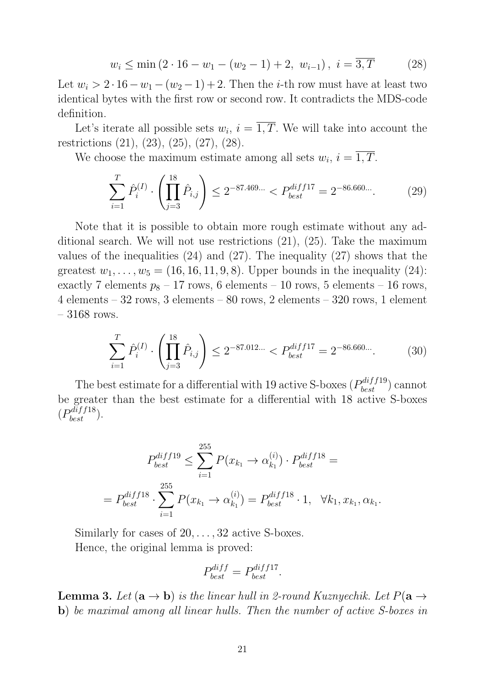$$
w_i \le \min\left(2 \cdot 16 - w_1 - (w_2 - 1) + 2, w_{i-1}\right), \ i = \overline{3, T} \tag{28}
$$

Let  $w_i > 2 \cdot 16 - w_1 - (w_2 - 1) + 2$ . Then the *i*-th row must have at least two identical bytes with the first row or second row. It contradicts the MDS-code definition.

Let's iterate all possible sets  $w_i$ ,  $i = 1, T$ . We will take into account the restrictions (21), (23), (25), (27), (28).

We choose the maximum estimate among all sets  $w_i$ ,  $i = 1, T$ .

$$
\sum_{i=1}^{T} \hat{P}_i^{(I)} \cdot \left( \prod_{j=3}^{18} \hat{P}_{i,j} \right) \le 2^{-87.469...} < P_{best}^{diff17} = 2^{-86.660...}.
$$
 (29)

Note that it is possible to obtain more rough estimate without any additional search. We will not use restrictions (21), (25). Take the maximum values of the inequalities (24) and (27). The inequality (27) shows that the greatest  $w_1, \ldots, w_5 = (16, 16, 11, 9, 8)$ . Upper bounds in the inequality  $(24)$ : exactly 7 elements  $p_8 - 17$  rows, 6 elements – 10 rows, 5 elements – 16 rows, 4 elements – 32 rows, 3 elements – 80 rows, 2 elements – 320 rows, 1 element  $-3168$  rows.

$$
\sum_{i=1}^{T} \hat{P}_i^{(I)} \cdot \left( \prod_{j=3}^{18} \hat{P}_{i,j} \right) \le 2^{-87.012...} < P_{best}^{diff17} = 2^{-86.660...}.\tag{30}
$$

The best estimate for a differential with 19 active S-boxes  $(P_{best}^{diff19})$  cannot be greater than the best estimate for a differential with 18 active S-boxes  $(P_{best}^{diff18})$ .

$$
P_{best}^{diff19} \le \sum_{i=1}^{255} P(x_{k_1} \to \alpha_{k_1}^{(i)}) \cdot P_{best}^{diff18} =
$$
  
= 
$$
P_{best}^{diff18} \cdot \sum_{i=1}^{255} P(x_{k_1} \to \alpha_{k_1}^{(i)}) = P_{best}^{diff18} \cdot 1, \quad \forall k_1, x_{k_1}, \alpha_{k_1}.
$$

Similarly for cases of 20, . . . , 32 active S-boxes. Hence, the original lemma is proved:

$$
P_{best}^{diff} = P_{best}^{diff17}.
$$

**Lemma 3.** Let  $(\mathbf{a} \to \mathbf{b})$  is the linear hull in 2-round Kuznyechik. Let  $P(\mathbf{a} \to \mathbf{b})$ b) be maximal among all linear hulls. Then the number of active S-boxes in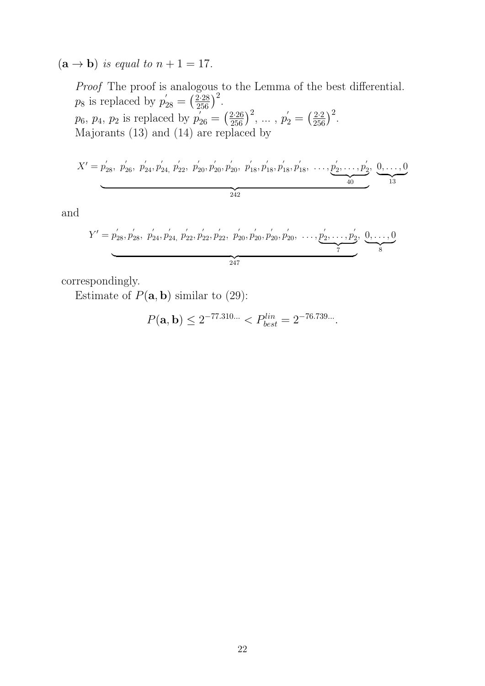$(**a** \rightarrow **b**)$  is equal to  $n + 1 = 17$ .

Proof The proof is analogous to the Lemma of the best differential.  $p_8$  is replaced by  $p'_{28} = (\frac{2.28}{256})^2$ .  $p_6, p_4, p_2$  is replaced by  $p'_{26} = \left(\frac{2.26}{256}\right)^2, \ldots, p'_2 = \left(\frac{2.2}{256}\right)^2$ . Majorants (13) and (14) are replaced by

$$
X' = p'_{28}, p'_{26}, p'_{24}, p'_{24}, p'_{22}, p'_{20}, p'_{20}, p'_{20}, p'_{18}, p'_{18}, p'_{18}, \dots, p'_{2}, \dots, p'_{2}, p'_{20}, p'_{13}, p'_{18}, p'_{18}, p'_{18}, p'_{18}, p'_{18}, p'_{18}, p'_{18}, p'_{18}, p'_{18}, p'_{18}, p'_{18}, p'_{18}, p'_{18}, p'_{18}, p'_{18}, p'_{18}, p'_{18}, p'_{18}, p'_{18}, p'_{18}, p'_{18}, p'_{18}, p'_{18}, p'_{18}, p'_{18}, p'_{18}, p'_{18}, p'_{18}, p'_{18}, p'_{18}, p'_{18}, p'_{18}, p'_{18}, p'_{18}, p'_{18}, p'_{18}, p'_{18}, p'_{18}, p'_{18}, p'_{18}, p'_{18}, p'_{18}, p'_{18}, p'_{18}, p'_{18}, p'_{18}, p'_{18}, p'_{18}, p'_{18}, p'_{18}, p'_{18}, p'_{18}, p'_{18}, p'_{18}, p'_{18}, p'_{18}, p'_{18}, p'_{18}, p'_{18}, p'_{18}, p'_{18}, p'_{18}, p'_{18}, p'_{18}, p'_{18}, p'_{18}, p'_{18}, p'_{18}, p'_{18}, p'_{18}, p'_{18}, p'_{18}, p'_{18}, p'_{18}, p'_{18}, p'_{18}, p'_{18}, p'_{18}, p'_{18}, p'_{18}, p'_{18}, p'_{18}, p'_{18}, p'_{18}, p'_{18}, p'_{18}, p'_{18}, p'_{18}, p'_{18}, p'_{18}, p'_{18}, p'_{18}, p'_{18}, p'_{18}, p'_{18}, p'_{18}, p'_{18}, p'_{18}, p'_{18}, p'_{18}, p'_{18}, p'_{18}, p'_{18}, p'_{18}, p'_{18}, p'_{18}, p'_{18}, p'_{18}, p'_{18}, p'_{18}, p'
$$

and

$$
Y' = p'_{28}, p'_{28}, p'_{24}, p'_{24}, p'_{22}, p'_{22}, p'_{22}, p'_{20}, p'_{20}, p'_{20}, p'_{20}, \dots, p'_{2}, \dots, p'_{2}, 0, \dots, 0
$$

correspondingly.

Estimate of  $P(\mathbf{a}, \mathbf{b})$  similar to (29):

$$
P(\mathbf{a}, \mathbf{b}) \le 2^{-77.310...} < P_{best}^{lin} = 2^{-76.739...}.
$$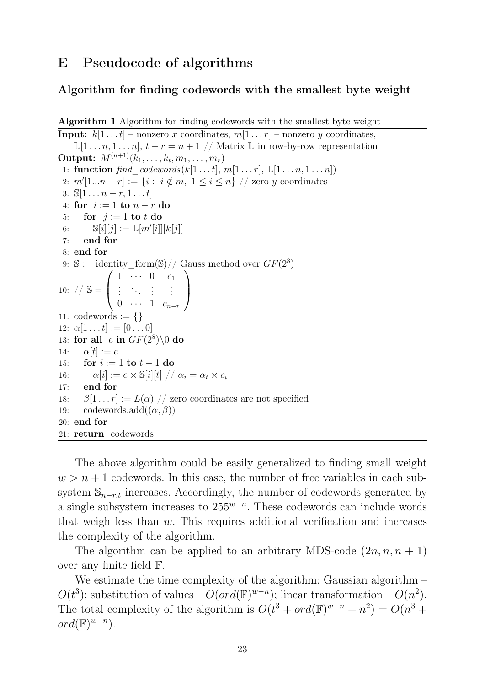### E Pseudocode of algorithms

#### Algorithm for finding codewords with the smallest byte weight

```
Algorithm 1 Algorithm for finding codewords with the smallest byte weight
```
**Input:**  $k[1 \dots t]$  – nonzero x coordinates,  $m[1 \dots r]$  – nonzero y coordinates,  $\mathbb{L}[1 \dots n, 1 \dots n], t + r = n + 1 \text{ // Matrix } \mathbb{L}$  in row-by-row representation **Output:**  $M^{(n+1)}(k_1, \ldots, k_t, m_1, \ldots, m_r)$ 1: function find\_codewords(k[1 . . . t], m[1 . . . r],  $\mathbb{L}[1 \ldots n, 1 \ldots n]$ ) 2:  $m'[1...n-r] := \{i : i \notin m, 1 \le i \le n\}$  // zero y coordinates 3:  $\mathbb{S}[1 \dots n-r, 1 \dots t]$ 4: for  $i := 1$  to  $n - r$  do 5: for  $j := 1$  to t do 6:  $\mathbb{S}[i][j] := \mathbb{L}[m'[i]][k[j]]$ 7: end for 8: end for 9:  $\mathbb{S} := \text{identity\_form}(\mathbb{S})//$  Gauss method over  $GF(2^8)$ 10:  $//$  S =  $\sqrt{ }$  $\overline{ }$  $1 \cdots 0 \cdots c_1$ .<br>.<br>.<br>.<br>.<br>.<br>.  $0 \cdots 1 \, c_{n-r}$  $\setminus$  $\Big\}$ 11: codewords  $:= \{\}$ 12:  $\alpha[1 \dots t] := [0 \dots 0]$ 13: for all  $e$  in  $GF(2^8)\backslash 0$  do 14:  $\alpha[t] := e$ 15: for  $i := 1$  to  $t - 1$  do 16:  $\alpha[i] := e \times \mathbb{S}[i][t] \text{ // } \alpha_i = \alpha_t \times c_i$ 17: end for 18:  $\beta[1 \dots r] := L(\alpha) / \alpha$  zero coordinates are not specified 19: codewords.add $((\alpha, \beta))$ 20: end for 21: return codewords

The above algorithm could be easily generalized to finding small weight  $w > n + 1$  codewords. In this case, the number of free variables in each subsystem  $\mathbb{S}_{n-r,t}$  increases. Accordingly, the number of codewords generated by a single subsystem increases to  $255^{w-n}$ . These codewords can include words that weigh less than  $w$ . This requires additional verification and increases the complexity of the algorithm.

The algorithm can be applied to an arbitrary MDS-code  $(2n, n, n+1)$ over any finite field F.

We estimate the time complexity of the algorithm: Gaussian algorithm –  $O(t^3)$ ; substitution of values –  $O(ord(\mathbb{F})^{w-n})$ ; linear transformation –  $O(n^2)$ . The total complexity of the algorithm is  $O(t^3 + ord(\mathbb{F})^{w-n} + n^2) = O(n^3 +$  $ord(\mathbb{F})^{w-n}$ ).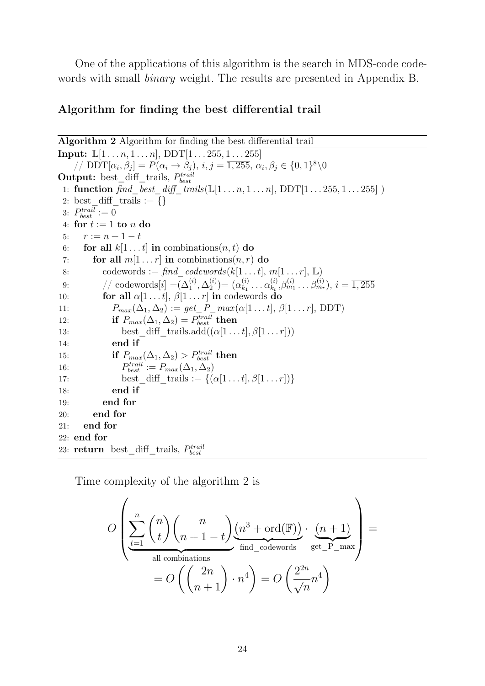One of the applications of this algorithm is the search in MDS-code codewords with small binary weight. The results are presented in Appendix B.

### Algorithm for finding the best differential trail

Algorithm 2 Algorithm for finding the best differential trail **Input:**  $\mathbb{L}[1 \dots n, 1 \dots n]$ ,  $\text{DDT}[1 \dots 255, 1 \dots 255]$ // DDT $[\alpha_i, \beta_j] = P(\alpha_i \rightarrow \beta_j), i, j = \overline{1,255}, \alpha_i, \beta_j \in \{0,1\}^8 \backslash 0$ Output: best\_diff\_trails,  $P_{best}^{trail}$ 1: **function**  $\text{find}\_\text{best}\_\text{diff}\_\text{trails}(\mathbb{L}[1 \dots n, 1 \dots n], \text{DDT}[1 \dots 255, 1 \dots 255])$ 2: best\_diff\_trails :=  $\{\}$ 3:  $P_{best}^{trail} := 0$ 4: for  $t := 1$  to n do 5:  $r := n + 1 - t$ 6: for all  $k[1 \dots t]$  in combinations $(n, t)$  do 7: for all  $m[1 \dots r]$  in combinations $(n, r)$  do 8: codewords := find codewords(k[1 . . . t], m[1 . . . r], L) 9:  $\qquad \quad \text{/}/ \text{ codewords}[i] = \!(\Delta_1^{(i)}, \Delta_2^{(i)}\!)$  $\alpha_{k_1}^{(i)}$ ) $= (\alpha_{k_1}^{(i)}$  $\alpha_{k_1}^{(i)} \dots \alpha_{k_t}^{(i)}$  $\beta_{k_t}^{(i)}, \beta_{m_1}^{(i)} \dots \beta_{m_r}^{(i)}$ ),  $i = \overline{1,255}$ 10: **for all**  $\alpha[1 \dots t], \beta[1 \dots r]$  in codewords do 11:  $P_{max}(\Delta_1, \Delta_2) := get \ P\_max(\alpha[1 \dots t], \beta[1 \dots r], \text{DDT})$ 12: if  $P_{max}(\Delta_1, \Delta_2) = P_{best}^{trail}$  then 13: best\_diff\_trails.add $((\alpha[1 \dots t], \beta[1 \dots r]))$ 14: end if 15: if  $P_{max}(\Delta_1, \Delta_2) > P_{best}^{trail}$  then 16:  $\mathcal{L}_{best}^{trail} := P_{max}(\Delta_1, \Delta_2)$ 17: best diff trails :=  $\{(\alpha[1 \dots t], \beta[1 \dots r])\}$ 18: end if 19: end for 20: end for 21: end for 22: end for 23:  $return \ best\_diff\_trails, \ P_{best}^{trail}$ 

Time complexity of the algorithm 2 is

$$
O\left(\underbrace{\sum_{t=1}^{n} {n \choose t} {n \choose n+1-t} \underbrace{(n^3 + \text{ord}(\mathbb{F}))}_{\text{find\_codewords}} \cdot \underbrace{(n+1)}_{\text{get\_P\_max}}}_{\text{get\_P\_max}}\right) = O\left(\binom{2n}{n+1} \cdot n^4\right) = O\left(\frac{2^{2n}}{\sqrt{n}} n^4\right)
$$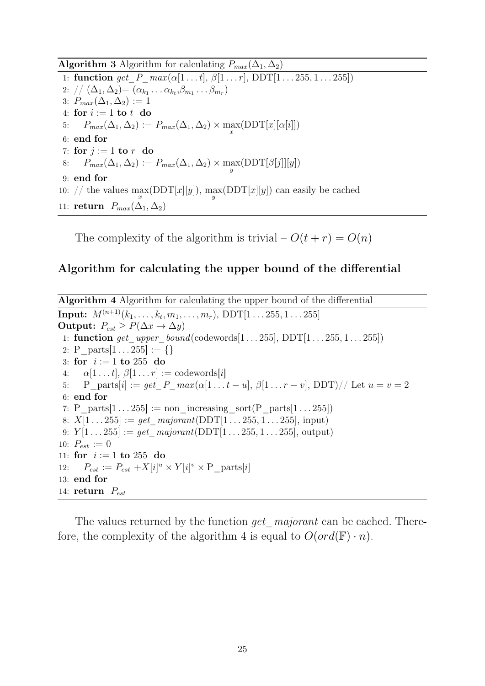**Algorithm 3** Algorithm for calculating  $P_{max}(\Delta_1, \Delta_2)$ 

1: function get  $P$   $max(\alpha[1 \dots t], \beta[1 \dots r], \text{DDT}[1 \dots 255, 1 \dots 255])$  $2:$   $\text{/}\text{/} (\Delta_1, \Delta_2) = (\alpha_{k_1} \ldots \alpha_{k_t}, \beta_{m_1} \ldots \beta_{m_r})$ 3:  $P_{max}(\Delta_1, \Delta_2) := 1$ 4: for  $i := 1$  to  $t$  do 5:  $P_{max}(\Delta_1, \Delta_2) := P_{max}(\Delta_1, \Delta_2) \times \max_x (\text{DDT}[x][\alpha[i]])$ 6: end for 7: for  $j := 1$  to  $r$  do  $8{:} \quad P_{max}(\Delta_1,\Delta_2):=P_{max}(\Delta_1,\Delta_2)\times\mathop{\rm max}_{y}(\mathrm{DDT}[\beta[j]][y])$ 9: end for 10: // the values  $\max_x (DDT[x][y])$ ,  $\max_y (DDT[x][y])$  can easily be cached 11: return  $P_{max}(\Delta_1, \Delta_2)$ 

The complexity of the algorithm is trivial –  $O(t + r) = O(n)$ 

#### Algorithm for calculating the upper bound of the differential

Algorithm 4 Algorithm for calculating the upper bound of the differential  $\textbf{Input:} \ \ M^{(n+1)}(k_1, \ldots, k_t, m_1, \ldots, m_r), \ \text{DDT}[1 \ldots 255, 1 \ldots 255]$ Output:  $P_{est} \ge P(\Delta x \to \Delta y)$ 1: function get upper bound(codewords[1 . . . 255], DDT[1 . . . 255, 1 . . . 255]) 2: P parts $[1 \dots 255] := \{\}$ 3: for  $i := 1$  to 255 do 4:  $\alpha[1 \dots t], \beta[1 \dots r] := \text{codewords}[i]$ 5: P\_parts[i] := get\_P\_max( $\alpha[1 \dots t - u], \beta[1 \dots r - v], \text{DDT}$ )// Let  $u = v = 2$ 6: end for 7: P\_parts[1 . . . 255] := non\_increasing\_sort(P\_parts[1 . . . 255]) 8:  $X[1 \dots 255] := get\_majorant(DDT[1 \dots 255, 1 \dots 255], input)$ 9:  $Y[1 \dots 255] := get \text{majorant}(DDT[1 \dots 255, 1 \dots 255], \text{ output})$ 10:  $P_{est} := 0$ 11: for  $i := 1$  to 255 do 12:  $P_{est} := P_{est} + X[i]^u \times Y[i]^v \times P_{parts}[i]$ 13: end for 14: return  $P_{est}$ 

The values returned by the function *get* majorant can be cached. Therefore, the complexity of the algorithm 4 is equal to  $O(\text{ord}(\mathbb{F}) \cdot n)$ .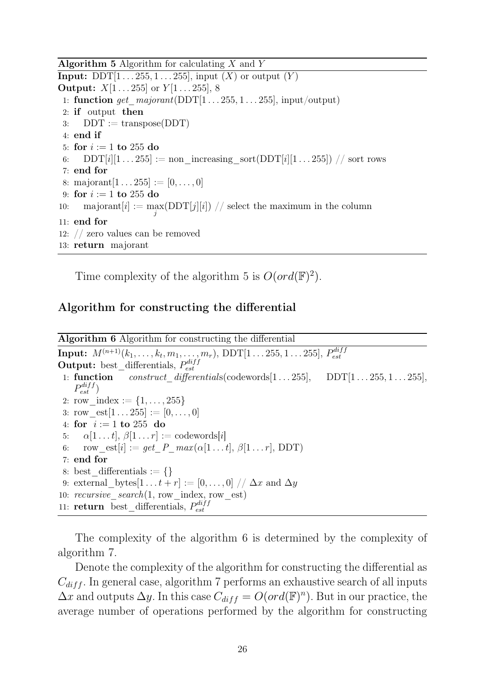**Algorithm 5** Algorithm for calculating  $X$  and  $Y$ **Input:** DDT $[1 \dots 255, 1 \dots 255]$ , input  $(X)$  or output  $(Y)$ **Output:**  $X[1 \dots 255]$  or  $Y[1 \dots 255]$ , 8 1: function get\_majorant(DDT[1 . . . 255, 1 . . . 255], input/output) 2: if output then 3:  $DDT := \text{transpose}(DDT)$ 4: end if 5: for  $i := 1$  to 255 do 6:  $DDT[i][1 \dots 255] := \text{non-increasing} \text{ sort}(DDT[i][1 \dots 255]) / / \text{sort} \text{rows}$ 7: end for 8: majorant $[1 \dots 255] := [0, \dots, 0]$ 9: for  $i := 1$  to 255 do 10: majorant $[i] := \max_{j} (DDT[j][i]) / j$  select the maximum in the column 11: end for 12: // zero values can be removed 13: return majorant

Time complexity of the algorithm 5 is  $O(\text{ord}(\mathbb{F})^2)$ .

### Algorithm for constructing the differential

Algorithm 6 Algorithm for constructing the differential **Input:**  $M^{(n+1)}(k_1, \ldots, k_t, m_1, \ldots, m_r)$ , DDT $[1 \ldots 255, 1 \ldots 255]$ , P  $_{diff}$ est **Output:** best\_differentials,  $P_{est}^{diff}$ est 1: function construct differentials(codewords $[1 \dots 255]$ , DDT $[1 \dots 255, 1 \dots 255]$ ,  $P_{est}^{diff}$ 2: row index  $:= \{1, \ldots, 255\}$ 3: row  $est[1 \dots 255] := [0, \dots, 0]$ 4: for  $i := 1$  to 255 do 5:  $\alpha[1 \dots t], \beta[1 \dots r] := \text{codewords}[i]$ 6:  $\text{row\_est}[i] := get\_P\_max(\alpha[1 \dots t], \beta[1 \dots r], \text{DDT})$ 7: end for 8: best differentials  $:= \{\}$ 9: external bytes $[1 \dots t + r] := [0, \dots, 0] / \Delta x$  and  $\Delta y$ 10: recursive  $search(1, row$  index, row est) 11: **return** best differentials,  $P_{est}^{diff}$ est

The complexity of the algorithm 6 is determined by the complexity of algorithm 7.

Denote the complexity of the algorithm for constructing the differential as  $C_{diff}$ . In general case, algorithm 7 performs an exhaustive search of all inputs  $\Delta x$  and outputs  $\Delta y$ . In this case  $C_{diff} = O(ord(\mathbb{F})^n)$ . But in our practice, the average number of operations performed by the algorithm for constructing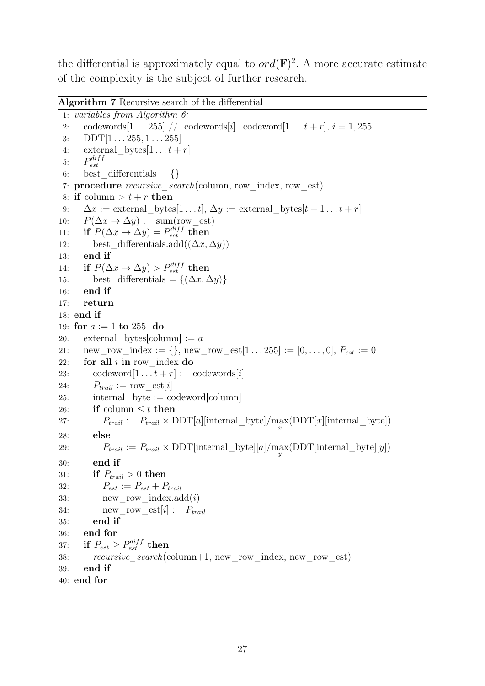the differential is approximately equal to  $ord(\mathbb{F})^2$ . A more accurate estimate of the complexity is the subject of further research.

Algorithm 7 Recursive search of the differential

```
1: variables from Algorithm 6:
 2: codewords\begin{bmatrix} 1 \dots 255 \end{bmatrix} // codewords[i]=codeword\begin{bmatrix} 1 \dots t + r \end{bmatrix}, i = \overline{1,255}3: DDT[1 \dots 255, 1 \dots 255]4: external bytes[1 \dots t + r]5: P_{est}^{diff}est
 6: best differentials = \{\}7: procedure recursive search(column, row index, row est)
8: if column > t + r then
9: \Delta x := external bytes[1...t], \Delta y := external bytes[t + 1...t + r]
10: P(\Delta x \to \Delta y) := \text{sum}(\text{row\_est})11: if P(\Delta x \to \Delta y) = P_{est}^{diff} then
12: best differentials.add((\Delta x, \Delta y))
13: end if
14: if P(\Delta x \to \Delta y) > P_{est}^{diff} then
15: best_differentials = \{(\Delta x, \Delta y)\}16: end if
17: return
18: end if
19: for a := 1 to 255 do
20: external bytes[column] := a21: new row index := {}, new row est[1 . . . 255] := [0, \ldots, 0], P_{est} := 022: for all i in row index do
23: codeword[1 \dots t + r] :=codewords[i]24: P_{trail} := \text{row} \text{est}[i]25: internal byte := codeword[column]
26: if column \leq t then
27: P_{trail} := P_{trail} \times \text{DDT}[a][internal\_byte] / \max_{x} (\text{DDT}[x][internal\_byte])28: else
29: P_{trail} := P_{trail} \times \mathrm{DDT}[internal\_byte][a] / \max_{y} (\mathrm{DDT}[internal\_byte][y])30: end if
31: if P_{trail} > 0 then
32: P_{est} := P_{est} + P_{trail}33: new row index.add(i)34: new row est[i] := P_{trail}35: end if
36: end for
37: if P_{est} \ge P_{est}^{diff} then
38: recursive search(column+1, new row index, new row est)
39: end if
40: end for
```